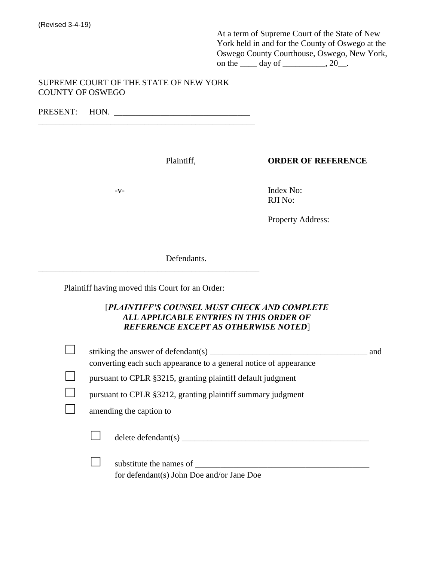At a term of Supreme Court of the State of New York held in and for the County of Oswego at the Oswego County Courthouse, Oswego, New York, on the  $\rule{1em}{0.15mm}$  day of  $\rule{1em}{0.15mm}$ , 20 $\rule{1em}{0.15mm}$ .

## SUPREME COURT OF THE STATE OF NEW YORK COUNTY OF OSWEGO

PRESENT: HON. \_\_\_\_\_\_\_\_\_\_\_\_\_\_\_\_\_\_\_\_\_\_\_\_\_\_\_\_\_\_\_\_ \_\_\_\_\_\_\_\_\_\_\_\_\_\_\_\_\_\_\_\_\_\_\_\_\_\_\_\_\_\_\_\_\_\_\_\_\_\_\_\_\_\_\_\_\_\_\_\_\_\_\_

Plaintiff, **ORDER OF REFERENCE**

-v- Index No: RJI No:

Property Address:

Defendants.

Plaintiff having moved this Court for an Order:

\_\_\_\_\_\_\_\_\_\_\_\_\_\_\_\_\_\_\_\_\_\_\_\_\_\_\_\_\_\_\_\_\_\_\_\_\_\_\_\_\_\_\_\_\_\_\_\_\_\_\_\_

## [*PLAINTIFF'S COUNSEL MUST CHECK AND COMPLETE ALL APPLICABLE ENTRIES IN THIS ORDER OF REFERENCE EXCEPT AS OTHERWISE NOTED*]

|                                                             | striking the answer of defendant(s)<br>converting each such appearance to a general notice of appearance | and |
|-------------------------------------------------------------|----------------------------------------------------------------------------------------------------------|-----|
| pursuant to CPLR §3215, granting plaintiff default judgment |                                                                                                          |     |
| pursuant to CPLR §3212, granting plaintiff summary judgment |                                                                                                          |     |
| amending the caption to                                     |                                                                                                          |     |
|                                                             | $delete$ defendant $(s)$                                                                                 |     |
|                                                             | substitute the names of<br>for defendant(s) John Doe and/or Jane Doe                                     |     |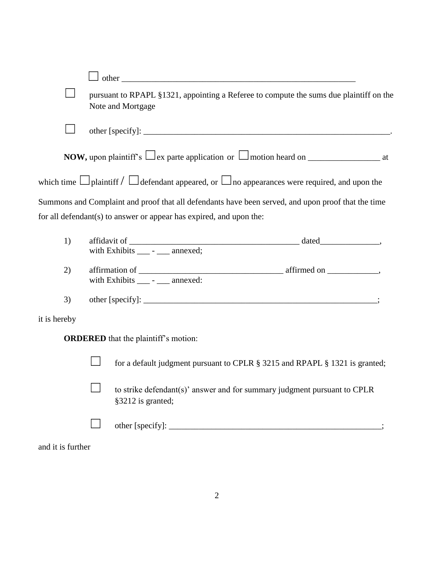|                   | pursuant to RPAPL §1321, appointing a Referee to compute the sums due plaintiff on the<br>Note and Mortgage |
|-------------------|-------------------------------------------------------------------------------------------------------------|
|                   |                                                                                                             |
|                   | <b>NOW,</b> upon plaintiff's $\Box$ ex parte application or $\Box$ motion heard on $\Box$ at                |
|                   | which time $\Box$ plaintiff $\Box$ defendant appeared, or $\Box$ no appearances were required, and upon the |
|                   | Summons and Complaint and proof that all defendants have been served, and upon proof that the time          |
|                   | for all defendant(s) to answer or appear has expired, and upon the:                                         |
| 1)                |                                                                                                             |
| 2)                | with Exhibits ____ - ___ annexed:                                                                           |
| 3)                |                                                                                                             |
| it is hereby      |                                                                                                             |
|                   | <b>ORDERED</b> that the plaintiff's motion:                                                                 |
|                   | for a default judgment pursuant to CPLR § 3215 and RPAPL § 1321 is granted;                                 |
|                   | to strike defendant(s)' answer and for summary judgment pursuant to CPLR<br>§3212 is granted;               |
|                   |                                                                                                             |
| and it is further |                                                                                                             |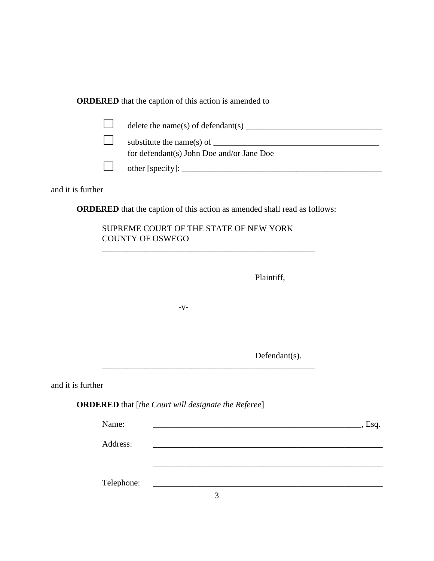| <b>ORDERED</b> that the caption of this action is amended to |  |
|--------------------------------------------------------------|--|
|--------------------------------------------------------------|--|

| delete the name(s) of defendant(s) $\qquad \qquad$ |
|----------------------------------------------------|
| substitute the name(s) of $\qquad \qquad$          |
| for defendant(s) John Doe and/or Jane Doe          |
|                                                    |

and it is further

**ORDERED** that the caption of this action as amended shall read as follows:

\_\_\_\_\_\_\_\_\_\_\_\_\_\_\_\_\_\_\_\_\_\_\_\_\_\_\_\_\_\_\_\_\_\_\_\_\_\_\_\_\_\_\_\_\_\_\_\_\_\_

\_\_\_\_\_\_\_\_\_\_\_\_\_\_\_\_\_\_\_\_\_\_\_\_\_\_\_\_\_\_\_\_\_\_\_\_\_\_\_\_\_\_\_\_\_\_\_\_\_\_

| SUPREME COURT OF THE STATE OF NEW YORK |  |
|----------------------------------------|--|
| COUNTY OF OSWEGO                       |  |

Plaintiff,

-v-

Defendant(s).

and it is further

**ORDERED** that [*the Court will designate the Referee*]

| Name:      | Esq. |
|------------|------|
| Address:   |      |
|            |      |
|            |      |
| Telephone: |      |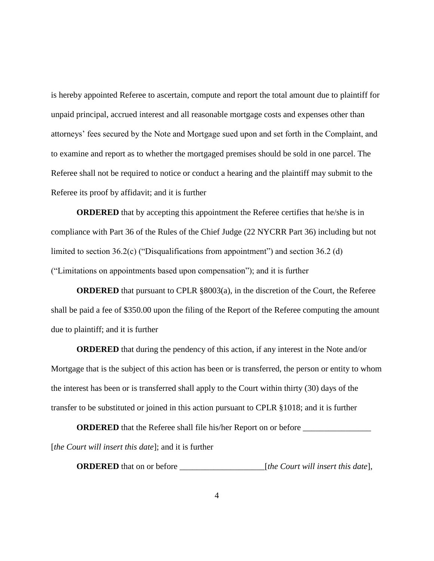is hereby appointed Referee to ascertain, compute and report the total amount due to plaintiff for unpaid principal, accrued interest and all reasonable mortgage costs and expenses other than attorneys' fees secured by the Note and Mortgage sued upon and set forth in the Complaint, and to examine and report as to whether the mortgaged premises should be sold in one parcel. The Referee shall not be required to notice or conduct a hearing and the plaintiff may submit to the Referee its proof by affidavit; and it is further

**ORDERED** that by accepting this appointment the Referee certifies that he/she is in compliance with Part 36 of the Rules of the Chief Judge (22 NYCRR Part 36) including but not limited to section 36.2(c) ("Disqualifications from appointment") and section 36.2 (d) ("Limitations on appointments based upon compensation"); and it is further

**ORDERED** that pursuant to CPLR §8003(a), in the discretion of the Court, the Referee shall be paid a fee of \$350.00 upon the filing of the Report of the Referee computing the amount due to plaintiff; and it is further

**ORDERED** that during the pendency of this action, if any interest in the Note and/or Mortgage that is the subject of this action has been or is transferred, the person or entity to whom the interest has been or is transferred shall apply to the Court within thirty (30) days of the transfer to be substituted or joined in this action pursuant to CPLR §1018; and it is further

**ORDERED** that the Referee shall file his/her Report on or before \_\_\_\_\_\_\_\_\_\_\_\_\_\_\_\_ [*the Court will insert this date*]; and it is further

**ORDERED** that on or before \_\_\_\_\_\_\_\_\_\_\_\_\_\_\_\_\_\_\_\_[*the Court will insert this date*],